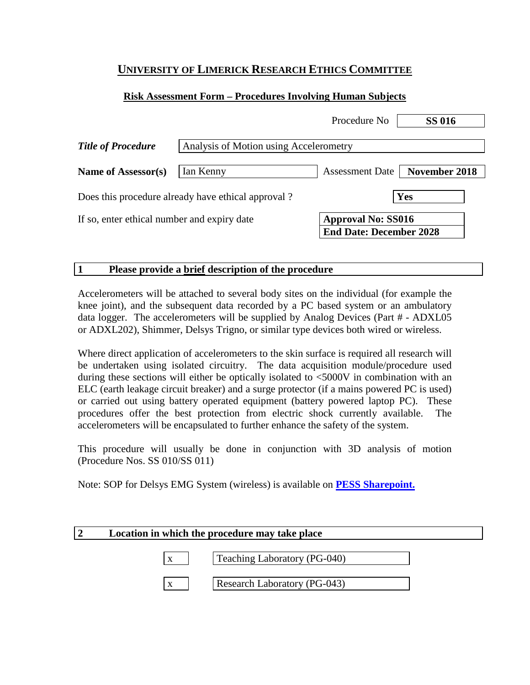### **UNIVERSITY OF LIMERICK RESEARCH ETHICS COMMITTEE**

### **Risk Assessment Form – Procedures Involving Human Subjects**

|                                                    |                                        |  | Procedure No                                                | <b>SS 016</b> |
|----------------------------------------------------|----------------------------------------|--|-------------------------------------------------------------|---------------|
| <b>Title of Procedure</b>                          | Analysis of Motion using Accelerometry |  |                                                             |               |
| Name of Assessor(s)                                | Ian Kenny                              |  | <b>Assessment Date</b>                                      | November 2018 |
| Does this procedure already have ethical approval? |                                        |  |                                                             | Yes           |
| If so, enter ethical number and expiry date        |                                        |  | <b>Approval No: SS016</b><br><b>End Date: December 2028</b> |               |

### **1 Please provide a brief description of the procedure**

Accelerometers will be attached to several body sites on the individual (for example the knee joint), and the subsequent data recorded by a PC based system or an ambulatory data logger. The accelerometers will be supplied by Analog Devices (Part # - ADXL05 or ADXL202), Shimmer, Delsys Trigno, or similar type devices both wired or wireless.

Where direct application of accelerometers to the skin surface is required all research will be undertaken using isolated circuitry. The data acquisition module/procedure used during these sections will either be optically isolated to <5000V in combination with an ELC (earth leakage circuit breaker) and a surge protector (if a mains powered PC is used) or carried out using battery operated equipment (battery powered laptop PC). These procedures offer the best protection from electric shock currently available. The accelerometers will be encapsulated to further enhance the safety of the system.

This procedure will usually be done in conjunction with 3D analysis of motion (Procedure Nos. SS 010/SS 011)

Note: SOP for Delsys EMG System (wireless) is available on **[PESS Sharepoint.](https://sharepoint.ul.ie/SiteDirectory/PESS/Health%20and%20Safety1/Standard%20Operating%20Procedures%20(SOPs)/Biomechanics%20Lab%20SOPs/EMG%20Delsys%20wireless_SOP%20v2.pdf)**

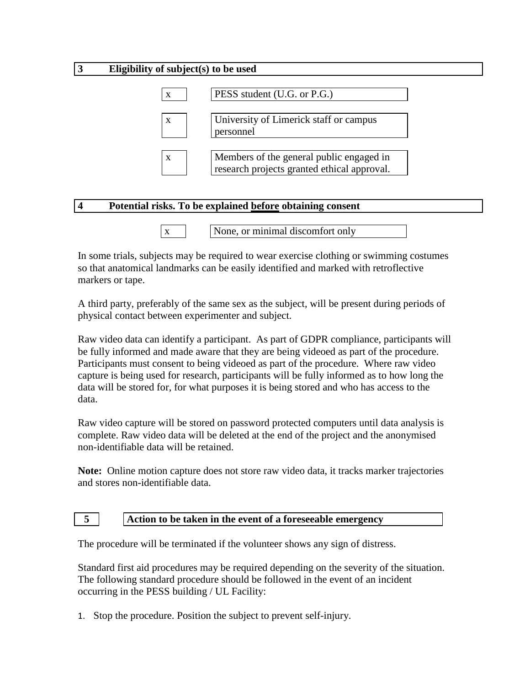# **3 Eligibility of subject(s) to be used**



### **4 Potential risks. To be explained before obtaining consent**

| None, or minimal discomfort only |  |
|----------------------------------|--|
|----------------------------------|--|

In some trials, subjects may be required to wear exercise clothing or swimming costumes so that anatomical landmarks can be easily identified and marked with retroflective markers or tape.

A third party, preferably of the same sex as the subject, will be present during periods of physical contact between experimenter and subject.

Raw video data can identify a participant. As part of GDPR compliance, participants will be fully informed and made aware that they are being videoed as part of the procedure. Participants must consent to being videoed as part of the procedure. Where raw video capture is being used for research, participants will be fully informed as to how long the data will be stored for, for what purposes it is being stored and who has access to the data.

Raw video capture will be stored on password protected computers until data analysis is complete. Raw video data will be deleted at the end of the project and the anonymised non-identifiable data will be retained.

**Note:** Online motion capture does not store raw video data, it tracks marker trajectories and stores non-identifiable data.

#### **5 Action to be taken in the event of a foreseeable emergency**

The procedure will be terminated if the volunteer shows any sign of distress.

Standard first aid procedures may be required depending on the severity of the situation. The following standard procedure should be followed in the event of an incident occurring in the PESS building / UL Facility:

1. Stop the procedure. Position the subject to prevent self-injury.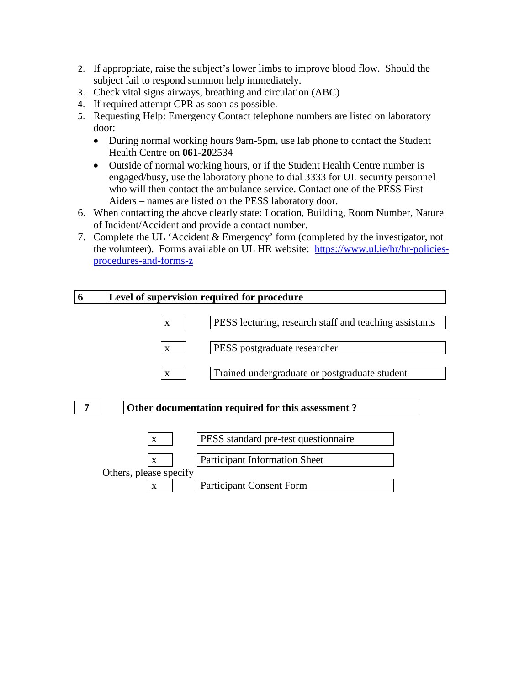- 2. If appropriate, raise the subject's lower limbs to improve blood flow. Should the subject fail to respond summon help immediately.
- 3. Check vital signs airways, breathing and circulation (ABC)
- 4. If required attempt CPR as soon as possible.
- 5. Requesting Help: Emergency Contact telephone numbers are listed on laboratory door:
	- During normal working hours 9am-5pm, use lab phone to contact the Student Health Centre on **061-20**2534
	- Outside of normal working hours, or if the Student Health Centre number is engaged/busy, use the laboratory phone to dial 3333 for UL security personnel who will then contact the ambulance service. Contact one of the PESS First Aiders – names are listed on the PESS laboratory door.
- 6. When contacting the above clearly state: Location, Building, Room Number, Nature of Incident/Accident and provide a contact number.
- 7. Complete the UL 'Accident & Emergency' form (completed by the investigator, not the volunteer). Forms available on UL HR website: [https://www.ul.ie/hr/hr-policies](https://www.ul.ie/hr/hr-policies-procedures-and-forms-z)[procedures-and-forms-z](https://www.ul.ie/hr/hr-policies-procedures-and-forms-z)